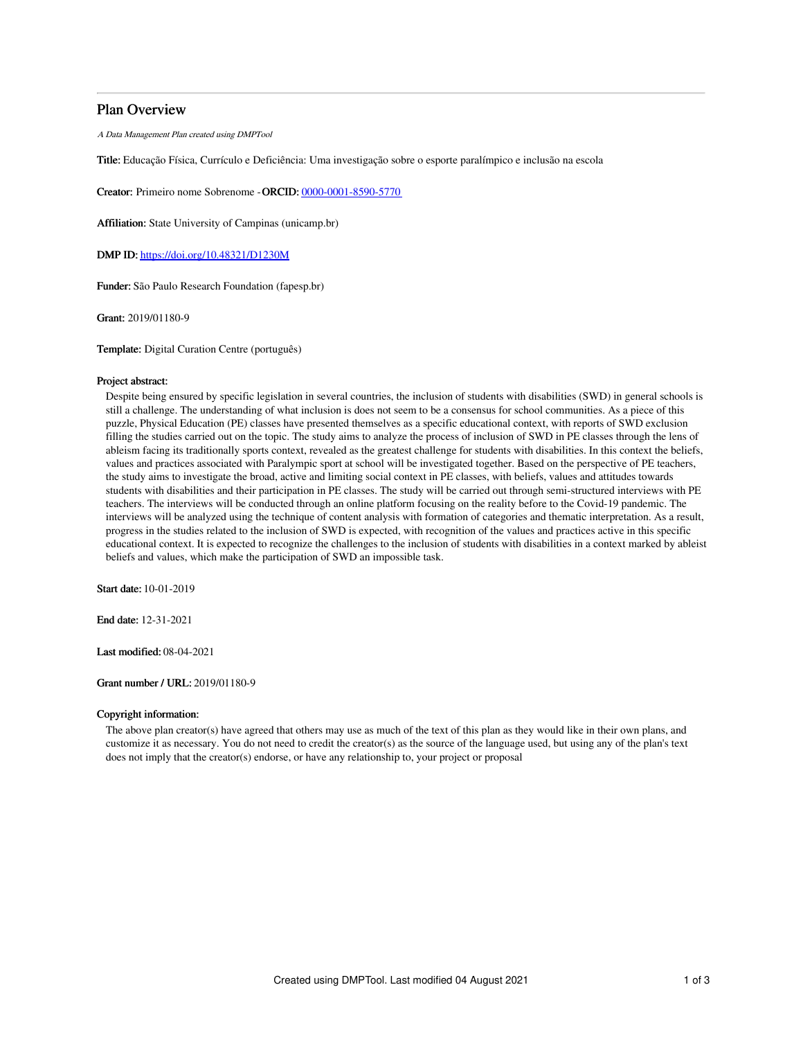# Plan Overview

A Data Management Plan created using DMPTool

Title: Educação Física, Currículo e Deficiência: Uma investigação sobre o esporte paralímpico e inclusão na escola

Creator: Primeiro nome Sobrenome -ORCID: [0000-0001-8590-5770](https://orcid.org/0000-0001-8590-5770)

Affiliation: State University of Campinas (unicamp.br)

DMP ID: <https://doi.org/10.48321/D1230M>

Funder: São Paulo Research Foundation (fapesp.br)

Grant: 2019/01180-9

Template: Digital Curation Centre (português)

#### Project abstract:

Despite being ensured by specific legislation in several countries, the inclusion of students with disabilities (SWD) in general schools is still a challenge. The understanding of what inclusion is does not seem to be a consensus for school communities. As a piece of this puzzle, Physical Education (PE) classes have presented themselves as a specific educational context, with reports of SWD exclusion filling the studies carried out on the topic. The study aims to analyze the process of inclusion of SWD in PE classes through the lens of ableism facing its traditionally sports context, revealed as the greatest challenge for students with disabilities. In this context the beliefs, values and practices associated with Paralympic sport at school will be investigated together. Based on the perspective of PE teachers, the study aims to investigate the broad, active and limiting social context in PE classes, with beliefs, values and attitudes towards students with disabilities and their participation in PE classes. The study will be carried out through semi-structured interviews with PE teachers. The interviews will be conducted through an online platform focusing on the reality before to the Covid-19 pandemic. The interviews will be analyzed using the technique of content analysis with formation of categories and thematic interpretation. As a result, progress in the studies related to the inclusion of SWD is expected, with recognition of the values and practices active in this specific educational context. It is expected to recognize the challenges to the inclusion of students with disabilities in a context marked by ableist beliefs and values, which make the participation of SWD an impossible task.

Start date: 10-01-2019

End date: 12-31-2021

Last modified: 08-04-2021

### Grant number / URL: 2019/01180-9

### Copyright information:

The above plan creator(s) have agreed that others may use as much of the text of this plan as they would like in their own plans, and customize it as necessary. You do not need to credit the creator(s) as the source of the language used, but using any of the plan's text does not imply that the creator(s) endorse, or have any relationship to, your project or proposal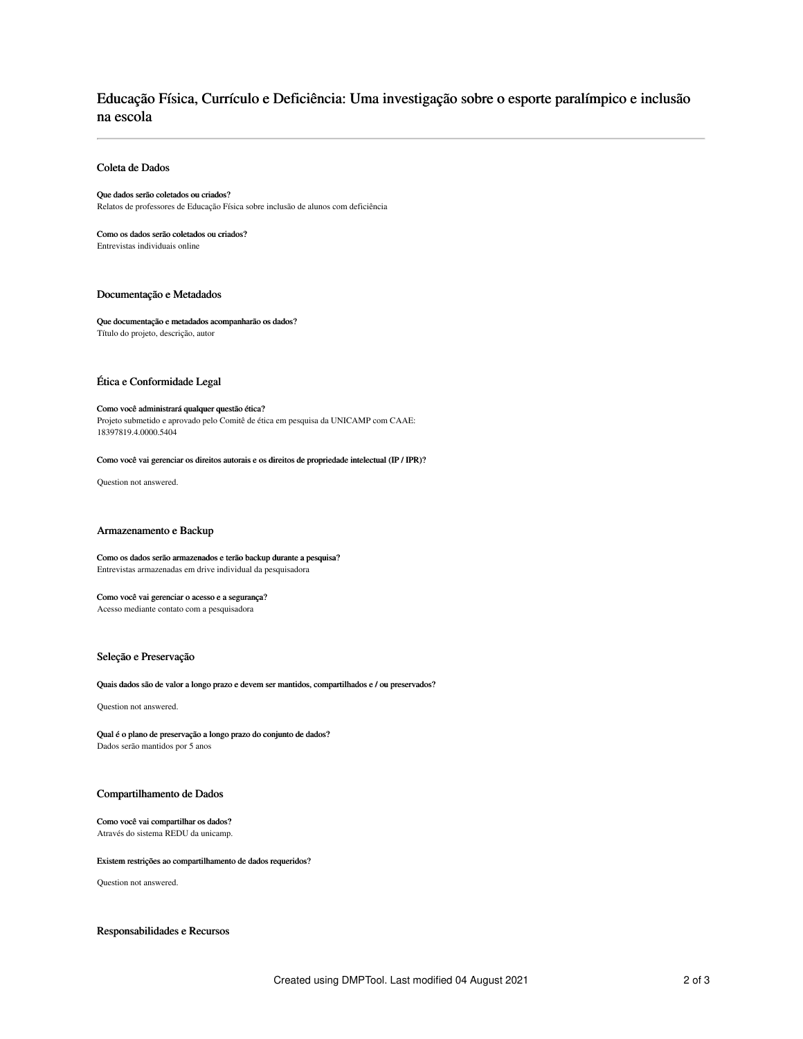# Educação Física, Currículo e Deficiência: Uma investigação sobre o esporte paralímpico e inclusão na escola

### Coleta de Dados

#### Que dados serão coletados ou criados?

Relatos de professores de Educação Física sobre inclusão de alunos com deficiência

Como os dados serão coletados ou criados? Entrevistas individuais online

## Documentação e Metadados

#### Que documentação e metadados acompanharão os dados? Título do projeto, descrição, autor

Ética e Conformidade Legal

#### Como você administrará qualquer questão ética?

Projeto submetido e aprovado pelo Comitê de ética em pesquisa da UNICAMP com CAAE: 18397819.4.0000.5404

#### Como você vai gerenciar os direitos autorais e os direitos de propriedade intelectual (IP / IPR)?

Question not answered.

#### Armazenamento e Backup

Como os dados serão armazenados e terão backup durante a pesquisa? Entrevistas armazenadas em drive individual da pesquisadora

### Como você vai gerenciar o acesso e a segurança?

Acesso mediante contato com a pesquisadora

#### Seleção e Preservação

Quais dados são de valor a longo prazo e devem ser mantidos, compartilhados e / ou preservados?

Question not answered.

Qual é o plano de preservação a longo prazo do conjunto de dados? Dados serão mantidos por 5 anos

# Compartilhamento de Dados

#### Como você vai compartilhar os dados? Através do sistema REDU da unicamp.

#### Existem restrições ao compartilhamento de dados requeridos?

Question not answered.

#### Responsabilidades e Recursos